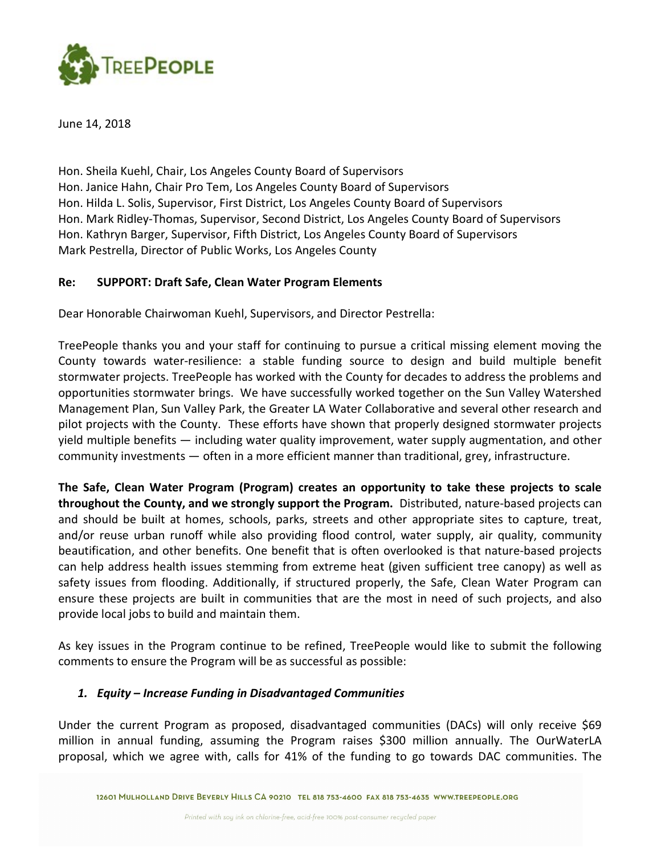

June 14, 2018

Hon. Sheila Kuehl, Chair, Los Angeles County Board of Supervisors Hon. Janice Hahn, Chair Pro Tem, Los Angeles County Board of Supervisors Hon. Hilda L. Solis, Supervisor, First District, Los Angeles County Board of Supervisors Hon. Mark Ridley-Thomas, Supervisor, Second District, Los Angeles County Board of Supervisors Hon. Kathryn Barger, Supervisor, Fifth District, Los Angeles County Board of Supervisors Mark Pestrella, Director of Public Works, Los Angeles County

### Re: SUPPORT: Draft Safe, Clean Water Program Elements

Dear Honorable Chairwoman Kuehl, Supervisors, and Director Pestrella:

TreePeople thanks you and your staff for continuing to pursue a critical missing element moving the County towards water-resilience: a stable funding source to design and build multiple benefit stormwater projects. TreePeople has worked with the County for decades to address the problems and opportunities stormwater brings. We have successfully worked together on the Sun Valley Watershed Management Plan, Sun Valley Park, the Greater LA Water Collaborative and several other research and pilot projects with the County. These efforts have shown that properly designed stormwater projects yield multiple benefits — including water quality improvement, water supply augmentation, and other community investments — often in a more efficient manner than traditional, grey, infrastructure.

The Safe, Clean Water Program (Program) creates an opportunity to take these projects to scale throughout the County, and we strongly support the Program. Distributed, nature-based projects can and should be built at homes, schools, parks, streets and other appropriate sites to capture, treat, and/or reuse urban runoff while also providing flood control, water supply, air quality, community beautification, and other benefits. One benefit that is often overlooked is that nature-based projects can help address health issues stemming from extreme heat (given sufficient tree canopy) as well as safety issues from flooding. Additionally, if structured properly, the Safe, Clean Water Program can ensure these projects are built in communities that are the most in need of such projects, and also provide local jobs to build and maintain them.

As key issues in the Program continue to be refined, TreePeople would like to submit the following comments to ensure the Program will be as successful as possible:

### 1. Equity – Increase Funding in Disadvantaged Communities

Under the current Program as proposed, disadvantaged communities (DACs) will only receive \$69 million in annual funding, assuming the Program raises \$300 million annually. The OurWaterLA proposal, which we agree with, calls for 41% of the funding to go towards DAC communities. The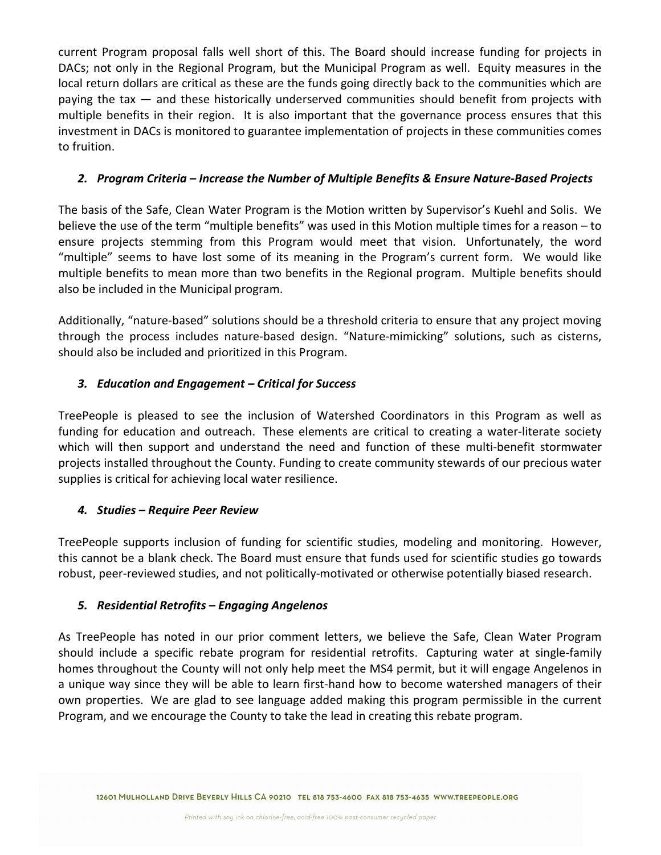current Program proposal falls well short of this. The Board should increase funding for projects in DACs; not only in the Regional Program, but the Municipal Program as well. Equity measures in the local return dollars are critical as these are the funds going directly back to the communities which are paying the tax — and these historically underserved communities should benefit from projects with multiple benefits in their region. It is also important that the governance process ensures that this investment in DACs is monitored to guarantee implementation of projects in these communities comes to fruition.

## 2. Program Criteria – Increase the Number of Multiple Benefits & Ensure Nature-Based Projects

The basis of the Safe, Clean Water Program is the Motion written by Supervisor's Kuehl and Solis. We believe the use of the term "multiple benefits" was used in this Motion multiple times for a reason – to ensure projects stemming from this Program would meet that vision. Unfortunately, the word "multiple" seems to have lost some of its meaning in the Program's current form. We would like multiple benefits to mean more than two benefits in the Regional program. Multiple benefits should also be included in the Municipal program.

Additionally, "nature-based" solutions should be a threshold criteria to ensure that any project moving through the process includes nature-based design. "Nature-mimicking" solutions, such as cisterns, should also be included and prioritized in this Program.

# 3. Education and Engagement – Critical for Success

TreePeople is pleased to see the inclusion of Watershed Coordinators in this Program as well as funding for education and outreach. These elements are critical to creating a water-literate society which will then support and understand the need and function of these multi-benefit stormwater projects installed throughout the County. Funding to create community stewards of our precious water supplies is critical for achieving local water resilience.

## 4. Studies – Require Peer Review

TreePeople supports inclusion of funding for scientific studies, modeling and monitoring. However, this cannot be a blank check. The Board must ensure that funds used for scientific studies go towards robust, peer-reviewed studies, and not politically-motivated or otherwise potentially biased research.

## 5. Residential Retrofits – Engaging Angelenos

As TreePeople has noted in our prior comment letters, we believe the Safe, Clean Water Program should include a specific rebate program for residential retrofits. Capturing water at single-family homes throughout the County will not only help meet the MS4 permit, but it will engage Angelenos in a unique way since they will be able to learn first-hand how to become watershed managers of their own properties. We are glad to see language added making this program permissible in the current Program, and we encourage the County to take the lead in creating this rebate program.